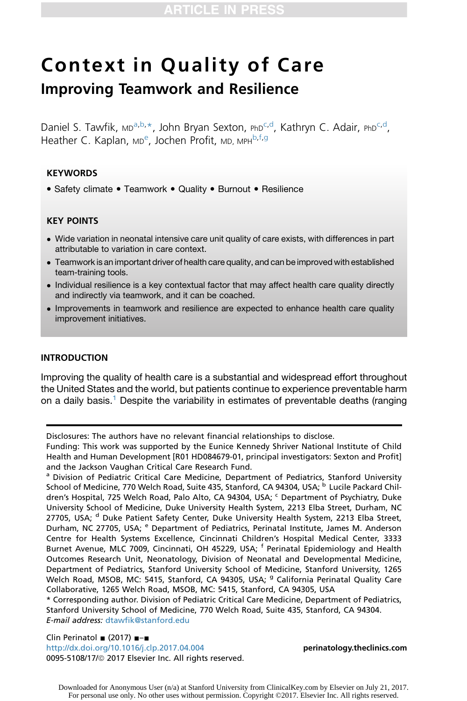# Context in Quality of Care Improving Teamwork and Resilience

Daniel S. Tawfik, <sub>MD</sub>a,b,\*, John Bryan Sexton, PhD<sup>c,d</sup>, Kathryn C. Adair, PhD<sup>c,d</sup>, Heather C. Kaplan, мр<sup>е</sup>, Jochen Profit, мр, мрн<sup>b,f,g</sup>

# **KEYWORDS**

• Safety climate • Teamwork • Quality • Burnout • Resilience

# KEY POINTS

- Wide variation in neonatal intensive care unit quality of care exists, with differences in part attributable to variation in care context.
- Teamwork is an important driver of health care quality, and can be improved with established team-training tools.
- Individual resilience is a key contextual factor that may affect health care quality directly and indirectly via teamwork, and it can be coached.
- Improvements in teamwork and resilience are expected to enhance health care quality improvement initiatives.

#### INTRODUCTION

Improving the quality of health care is a substantial and widespread effort throughout the United States and the world, but patients continue to experience preventable harm on a daily basis.<sup>[1](#page-7-0)</sup> Despite the variability in estimates of preventable deaths (ranging

Disclosures: The authors have no relevant financial relationships to disclose.

Funding: This work was supported by the Eunice Kennedy Shriver National Institute of Child Health and Human Development [R01 HD084679-01, principal investigators: Sexton and Profit] and the Jackson Vaughan Critical Care Research Fund.

<sup>a</sup> Division of Pediatric Critical Care Medicine, Department of Pediatrics, Stanford University School of Medicine, 770 Welch Road, Suite 435, Stanford, CA 94304, USA; <sup>b</sup> Lucile Packard Children's Hospital, 725 Welch Road, Palo Alto, CA 94304, USA; C Department of Psychiatry, Duke University School of Medicine, Duke University Health System, 2213 Elba Street, Durham, NC 27705, USA; <sup>d</sup> Duke Patient Safety Center, Duke University Health System, 2213 Elba Street, Durham, NC 27705, USA; e Department of Pediatrics, Perinatal Institute, James M. Anderson Centre for Health Systems Excellence, Cincinnati Children's Hospital Medical Center, 3333 Burnet Avenue, MLC 7009, Cincinnati, OH 45229, USA; <sup>f</sup> Perinatal Epidemiology and Health Outcomes Research Unit, Neonatology, Division of Neonatal and Developmental Medicine, Department of Pediatrics, Stanford University School of Medicine, Stanford University, 1265 Welch Road, MSOB, MC: 5415, Stanford, CA 94305, USA; <sup>g</sup> California Perinatal Quality Care Collaborative, 1265 Welch Road, MSOB, MC: 5415, Stanford, CA 94305, USA

\* Corresponding author. Division of Pediatric Critical Care Medicine, Department of Pediatrics, Stanford University School of Medicine, 770 Welch Road, Suite 435, Stanford, CA 94304. E-mail address: [dtawfik@stanford.edu](mailto:dtawfik@stanford.edu)

Clin Perinatol  $(2017)$   $$ <http://dx.doi.org/10.1016/j.clp.2017.04.004> [perinatology.theclinics.com](http://perinatology.theclinics.com) 0095-5108/17/@ 2017 Elsevier Inc. All rights reserved.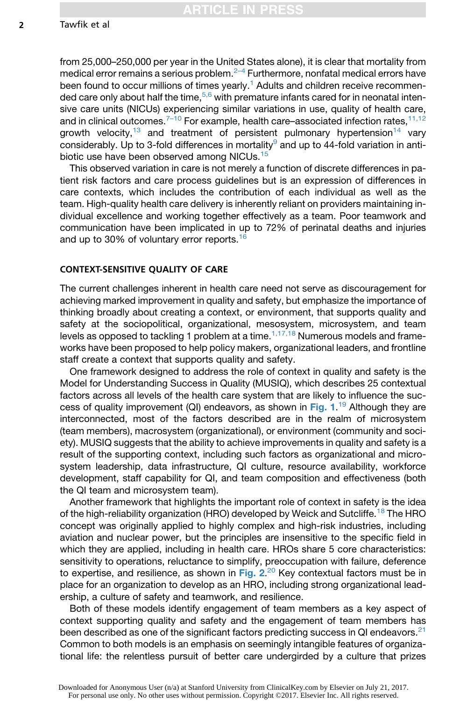from 25,000–250,000 per year in the United States alone), it is clear that mortality from medical error remains a serious problem. $2-4$  Furthermore, nonfatal medical errors have been found to occur millions of times yearly.<sup>[1](#page-7-0)</sup> Adults and children receive recommen-ded care only about half the time,<sup>[5,6](#page-7-0)</sup> with premature infants cared for in neonatal intensive care units (NICUs) experiencing similar variations in use, quality of health care, and in clinical outcomes.<sup> $7-10$ </sup> For example, health care–associated infection rates,  $11,12$ growth velocity,<sup>[13](#page-8-0)</sup> and treatment of persistent pulmonary hypertension<sup>[14](#page-8-0)</sup> vary considerably. Up to 3-fold differences in mortality<sup>[9](#page-7-0)</sup> and up to 44-fold variation in antibiotic use have been observed among NICUs.[15](#page-8-0)

This observed variation in care is not merely a function of discrete differences in patient risk factors and care process guidelines but is an expression of differences in care contexts, which includes the contribution of each individual as well as the team. High-quality health care delivery is inherently reliant on providers maintaining individual excellence and working together effectively as a team. Poor teamwork and communication have been implicated in up to 72% of perinatal deaths and injuries and up to 30% of voluntary error reports.<sup>[16](#page-8-0)</sup>

#### CONTEXT-SENSITIVE QUALITY OF CARE

The current challenges inherent in health care need not serve as discouragement for achieving marked improvement in quality and safety, but emphasize the importance of thinking broadly about creating a context, or environment, that supports quality and safety at the sociopolitical, organizational, mesosystem, microsystem, and team levels as opposed to tackling 1 problem at a time. $1,17,18$  Numerous models and frameworks have been proposed to help policy makers, organizational leaders, and frontline staff create a context that supports quality and safety.

One framework designed to address the role of context in quality and safety is the Model for Understanding Success in Quality (MUSIQ), which describes 25 contextual factors across all levels of the health care system that are likely to influence the suc-cess of quality improvement (QI) endeavors, as shown in [Fig. 1](#page-2-0).<sup>[19](#page-8-0)</sup> Although they are<br>interconnected, most of the factors described are in the realm of microsystem interconnected, most of the factors described are in the realm of microsystem (team members), macrosystem (organizational), or environment (community and society). MUSIQ suggests that the ability to achieve improvements in quality and safety is a result of the supporting context, including such factors as organizational and microsystem leadership, data infrastructure, QI culture, resource availability, workforce development, staff capability for QI, and team composition and effectiveness (both the QI team and microsystem team).

Another framework that highlights the important role of context in safety is the idea of the high-reliability organization (HRO) developed by Weick and Sutcliffe.[18](#page-8-0) The HRO concept was originally applied to highly complex and high-risk industries, including aviation and nuclear power, but the principles are insensitive to the specific field in which they are applied, including in health care. HROs share 5 core characteristics: sensitivity to operations, reluctance to simplify, preoccupation with failure, deference to expertise, and resilience, as shown in [Fig. 2](#page-2-0).<sup>[20](#page-8-0)</sup> Key contextual factors must be in<br>place for an organization to develop as an HBO, including strong organizational leadplace for an organization to develop as an HRO, including strong organizational leadership, a culture of safety and teamwork, and resilience.

Both of these models identify engagement of team members as a key aspect of context supporting quality and safety and the engagement of team members has been described as one of the significant factors predicting success in QI endeavors.<sup>[21](#page-8-0)</sup> Common to both models is an emphasis on seemingly intangible features of organizational life: the relentless pursuit of better care undergirded by a culture that prizes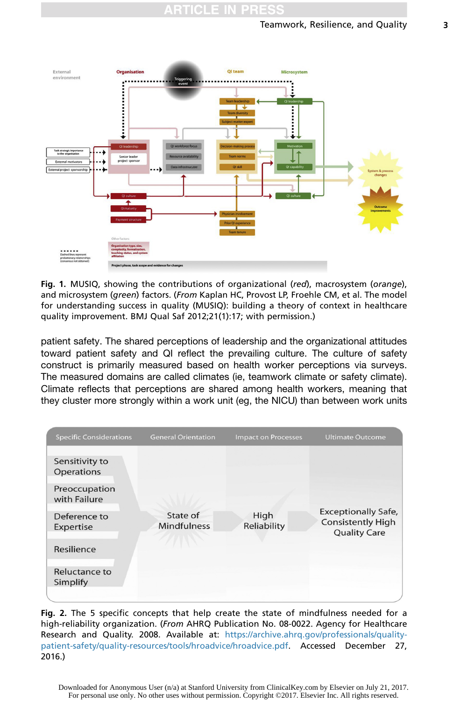<span id="page-2-0"></span>

Fig. 1. MUSIQ, showing the contributions of organizational (red), macrosystem (orange), and microsystem (green) factors. (From Kaplan HC, Provost LP, Froehle CM, et al. The model for understanding success in quality (MUSIQ): building a theory of context in healthcare quality improvement. BMJ Qual Saf 2012;21(1):17; with permission.)

patient safety. The shared perceptions of leadership and the organizational attitudes toward patient safety and QI reflect the prevailing culture. The culture of safety construct is primarily measured based on health worker perceptions via surveys. The measured domains are called climates (ie, teamwork climate or safety climate). Climate reflects that perceptions are shared among health workers, meaning that they cluster more strongly within a work unit (eg, the NICU) than between work units



Fig. 2. The 5 specific concepts that help create the state of mindfulness needed for a high-reliability organization. (From AHRQ Publication No. 08-0022. Agency for Healthcare Research and Quality. 2008. Available at: [https://archive.ahrq.gov/professionals/quality](https://archive.ahrq.gov/professionals/quality-patient-safety/quality-resources/tools/hroadvice/hroadvice.pdf)[patient-safety/quality-resources/tools/hroadvice/hroadvice.pdf.](https://archive.ahrq.gov/professionals/quality-patient-safety/quality-resources/tools/hroadvice/hroadvice.pdf) Accessed December 27, 2016.)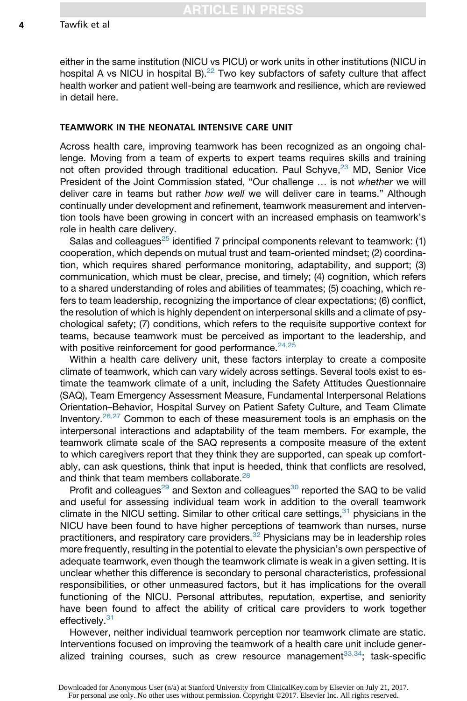either in the same institution (NICU vs PICU) or work units in other institutions (NICU in hospital A vs NICU in hospital B). $^{22}$  Two key subfactors of safety culture that affect health worker and patient well-being are teamwork and resilience, which are reviewed in detail here.

# TEAMWORK IN THE NEONATAL INTENSIVE CARE UNIT

Across health care, improving teamwork has been recognized as an ongoing challenge. Moving from a team of experts to expert teams requires skills and training not often provided through traditional education. Paul Schyve, $^{23}$  $^{23}$  $^{23}$  MD, Senior Vice President of the Joint Commission stated, "Our challenge . is not *whether* we will deliver care in teams but rather *how well* we will deliver care in teams." Although continually under development and refinement, teamwork measurement and intervention tools have been growing in concert with an increased emphasis on teamwork's role in health care delivery.

Salas and colleagues<sup>[25](#page-8-0)</sup> identified 7 principal components relevant to teamwork: (1) cooperation, which depends on mutual trust and team-oriented mindset; (2) coordination, which requires shared performance monitoring, adaptability, and support; (3) communication, which must be clear, precise, and timely; (4) cognition, which refers to a shared understanding of roles and abilities of teammates; (5) coaching, which refers to team leadership, recognizing the importance of clear expectations; (6) conflict, the resolution of which is highly dependent on interpersonal skills and a climate of psychological safety; (7) conditions, which refers to the requisite supportive context for teams, because teamwork must be perceived as important to the leadership, and with positive reinforcement for good performance.<sup>[24,25](#page-8-0)</sup>

Within a health care delivery unit, these factors interplay to create a composite climate of teamwork, which can vary widely across settings. Several tools exist to estimate the teamwork climate of a unit, including the Safety Attitudes Questionnaire (SAQ), Team Emergency Assessment Measure, Fundamental Interpersonal Relations Orientation–Behavior, Hospital Survey on Patient Safety Culture, and Team Climate Inventory.[26,27](#page-8-0) Common to each of these measurement tools is an emphasis on the interpersonal interactions and adaptability of the team members. For example, the teamwork climate scale of the SAQ represents a composite measure of the extent to which caregivers report that they think they are supported, can speak up comfortably, can ask questions, think that input is heeded, think that conflicts are resolved, and think that team members collaborate.<sup>[28](#page-8-0)</sup>

Profit and colleagues<sup>[29](#page-8-0)</sup> and Sexton and colleagues<sup>[30](#page-8-0)</sup> reported the SAQ to be valid and useful for assessing individual team work in addition to the overall teamwork climate in the NICU setting. Similar to other critical care settings,  $31$  physicians in the NICU have been found to have higher perceptions of teamwork than nurses, nurse practitioners, and respiratory care providers. $32$  Physicians may be in leadership roles more frequently, resulting in the potential to elevate the physician's own perspective of adequate teamwork, even though the teamwork climate is weak in a given setting. It is unclear whether this difference is secondary to personal characteristics, professional responsibilities, or other unmeasured factors, but it has implications for the overall functioning of the NICU. Personal attributes, reputation, expertise, and seniority have been found to affect the ability of critical care providers to work together effectively.<sup>[31](#page-8-0)</sup>

However, neither individual teamwork perception nor teamwork climate are static. Interventions focused on improving the teamwork of a health care unit include generalized training courses, such as crew resource management $33,34$ ; task-specific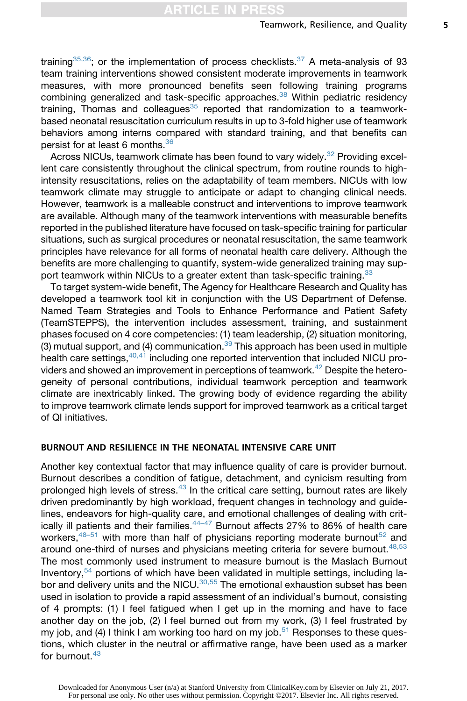training<sup>[35,36](#page-9-0)</sup>; or the implementation of process checklists.<sup>[37](#page-9-0)</sup> A meta-analysis of 93 team training interventions showed consistent moderate improvements in teamwork measures, with more pronounced benefits seen following training programs combining generalized and task-specific approaches.<sup>[38](#page-9-0)</sup> Within pediatric residency training, Thomas and colleagues $35$  reported that randomization to a teamworkbased neonatal resuscitation curriculum results in up to 3-fold higher use of teamwork behaviors among interns compared with standard training, and that benefits can persist for at least 6 months.[36](#page-9-0)

Across NICUs, teamwork climate has been found to vary widely.<sup>[32](#page-9-0)</sup> Providing excellent care consistently throughout the clinical spectrum, from routine rounds to highintensity resuscitations, relies on the adaptability of team members. NICUs with low teamwork climate may struggle to anticipate or adapt to changing clinical needs. However, teamwork is a malleable construct and interventions to improve teamwork are available. Although many of the teamwork interventions with measurable benefits reported in the published literature have focused on task-specific training for particular situations, such as surgical procedures or neonatal resuscitation, the same teamwork principles have relevance for all forms of neonatal health care delivery. Although the benefits are more challenging to quantify, system-wide generalized training may sup-port teamwork within NICUs to a greater extent than task-specific training.<sup>[33](#page-9-0)</sup>

To target system-wide benefit, The Agency for Healthcare Research and Quality has developed a teamwork tool kit in conjunction with the US Department of Defense. Named Team Strategies and Tools to Enhance Performance and Patient Safety (TeamSTEPPS), the intervention includes assessment, training, and sustainment phases focused on 4 core competencies: (1) team leadership, (2) situation monitoring, (3) mutual support, and (4) communication.  $39$  This approach has been used in multiple health care settings,  $40,41$  including one reported intervention that included NICU pro-viders and showed an improvement in perceptions of teamwork.<sup>[42](#page-9-0)</sup> Despite the heterogeneity of personal contributions, individual teamwork perception and teamwork climate are inextricably linked. The growing body of evidence regarding the ability to improve teamwork climate lends support for improved teamwork as a critical target of QI initiatives.

#### BURNOUT AND RESILIENCE IN THE NEONATAL INTENSIVE CARE UNIT

Another key contextual factor that may influence quality of care is provider burnout. Burnout describes a condition of fatigue, detachment, and cynicism resulting from prolonged high levels of stress. $43$  In the critical care setting, burnout rates are likely driven predominantly by high workload, frequent changes in technology and guidelines, endeavors for high-quality care, and emotional challenges of dealing with critically ill patients and their families.[44–47](#page-9-0) Burnout affects 27% to 86% of health care workers,  $48-51$  with more than half of physicians reporting moderate burnout  $52$  and around one-third of nurses and physicians meeting criteria for severe burnout.  $48,53$ The most commonly used instrument to measure burnout is the Maslach Burnout Inventory,  $54$  portions of which have been validated in multiple settings, including la-bor and delivery units and the NICU.<sup>[30,55](#page-8-0)</sup> The emotional exhaustion subset has been used in isolation to provide a rapid assessment of an individual's burnout, consisting of 4 prompts: (1) I feel fatigued when I get up in the morning and have to face another day on the job, (2) I feel burned out from my work, (3) I feel frustrated by my job, and (4) I think I am working too hard on my job.<sup>[51](#page-9-0)</sup> Responses to these questions, which cluster in the neutral or affirmative range, have been used as a marker for burnout. $43$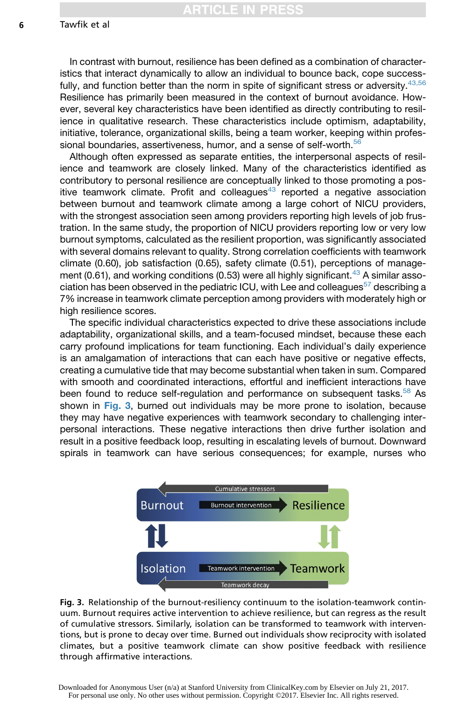In contrast with burnout, resilience has been defined as a combination of characteristics that interact dynamically to allow an individual to bounce back, cope success-fully, and function better than the norm in spite of significant stress or adversity.<sup>[43,56](#page-9-0)</sup> Resilience has primarily been measured in the context of burnout avoidance. However, several key characteristics have been identified as directly contributing to resilience in qualitative research. These characteristics include optimism, adaptability, initiative, tolerance, organizational skills, being a team worker, keeping within profes-sional boundaries, assertiveness, humor, and a sense of self-worth.<sup>[56](#page-10-0)</sup>

Although often expressed as separate entities, the interpersonal aspects of resilience and teamwork are closely linked. Many of the characteristics identified as contributory to personal resilience are conceptually linked to those promoting a positive teamwork climate. Profit and colleagues $43$  reported a negative association between burnout and teamwork climate among a large cohort of NICU providers, with the strongest association seen among providers reporting high levels of job frustration. In the same study, the proportion of NICU providers reporting low or very low burnout symptoms, calculated as the resilient proportion, was significantly associated with several domains relevant to quality. Strong correlation coefficients with teamwork climate (0.60), job satisfaction (0.65), safety climate (0.51), perceptions of manage-ment (0.61), and working conditions (0.53) were all highly significant.<sup>[43](#page-9-0)</sup> A similar asso-ciation has been observed in the pediatric ICU, with Lee and colleagues<sup>[57](#page-10-0)</sup> describing a 7% increase in teamwork climate perception among providers with moderately high or high resilience scores.

The specific individual characteristics expected to drive these associations include adaptability, organizational skills, and a team-focused mindset, because these each carry profound implications for team functioning. Each individual's daily experience is an amalgamation of interactions that can each have positive or negative effects, creating a cumulative tide that may become substantial when taken in sum. Compared with smooth and coordinated interactions, effortful and inefficient interactions have been found to reduce self-regulation and performance on subsequent tasks.<sup>[58](#page-10-0)</sup> As shown in Fig. 3, burned out individuals may be more prone to isolation, because they may have negative experiences with teamwork secondary to challenging interpersonal interactions. These negative interactions then drive further isolation and result in a positive feedback loop, resulting in escalating levels of burnout. Downward spirals in teamwork can have serious consequences; for example, nurses who



Fig. 3. Relationship of the burnout-resiliency continuum to the isolation-teamwork continuum. Burnout requires active intervention to achieve resilience, but can regress as the result of cumulative stressors. Similarly, isolation can be transformed to teamwork with interventions, but is prone to decay over time. Burned out individuals show reciprocity with isolated climates, but a positive teamwork climate can show positive feedback with resilience through affirmative interactions.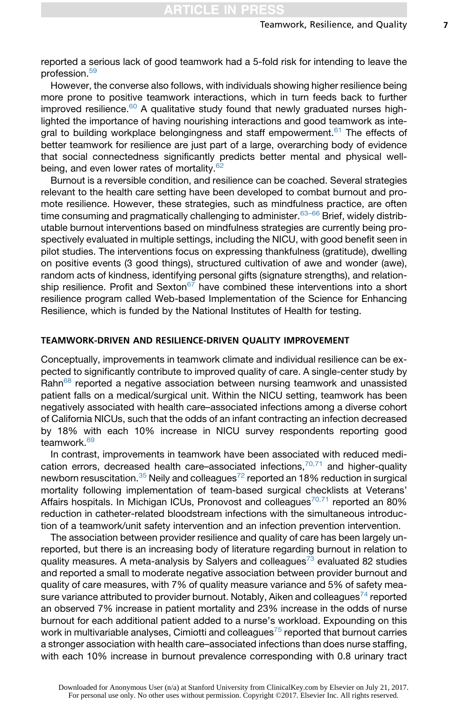reported a serious lack of good teamwork had a 5-fold risk for intending to leave the profession.[59](#page-10-0)

However, the converse also follows, with individuals showing higher resilience being more prone to positive teamwork interactions, which in turn feeds back to further improved resilience. $60$  A qualitative study found that newly graduated nurses highlighted the importance of having nourishing interactions and good teamwork as inte-gral to building workplace belongingness and staff empowerment.<sup>[61](#page-10-0)</sup> The effects of better teamwork for resilience are just part of a large, overarching body of evidence that social connectedness significantly predicts better mental and physical wellbeing, and even lower rates of mortality. $62$ 

Burnout is a reversible condition, and resilience can be coached. Several strategies relevant to the health care setting have been developed to combat burnout and promote resilience. However, these strategies, such as mindfulness practice, are often time consuming and pragmatically challenging to administer.<sup>[63–66](#page-10-0)</sup> Brief, widely distributable burnout interventions based on mindfulness strategies are currently being prospectively evaluated in multiple settings, including the NICU, with good benefit seen in pilot studies. The interventions focus on expressing thankfulness (gratitude), dwelling on positive events (3 good things), structured cultivation of awe and wonder (awe), random acts of kindness, identifying personal gifts (signature strengths), and relationship resilience. Profit and Sexton $67$  have combined these interventions into a short resilience program called Web-based Implementation of the Science for Enhancing Resilience, which is funded by the National Institutes of Health for testing.

# TEAMWORK-DRIVEN AND RESILIENCE-DRIVEN QUALITY IMPROVEMENT

Conceptually, improvements in teamwork climate and individual resilience can be expected to significantly contribute to improved quality of care. A single-center study by Rahn<sup>[68](#page-10-0)</sup> reported a negative association between nursing teamwork and unassisted patient falls on a medical/surgical unit. Within the NICU setting, teamwork has been negatively associated with health care–associated infections among a diverse cohort of California NICUs, such that the odds of an infant contracting an infection decreased by 18% with each 10% increase in NICU survey respondents reporting good teamwork.<sup>[69](#page-10-0)</sup>

In contrast, improvements in teamwork have been associated with reduced medication errors, decreased health care–associated infections, $70,71$  and higher-quality newborn resuscitation.<sup>[35](#page-9-0)</sup> Neily and colleagues<sup>[72](#page-11-0)</sup> reported an 18% reduction in surgical mortality following implementation of team-based surgical checklists at Veterans' Affairs hospitals. In Michigan ICUs, Pronovost and colleagues<sup>[70,71](#page-10-0)</sup> reported an 80% reduction in catheter-related bloodstream infections with the simultaneous introduction of a teamwork/unit safety intervention and an infection prevention intervention.

The association between provider resilience and quality of care has been largely unreported, but there is an increasing body of literature regarding burnout in relation to quality measures. A meta-analysis by Salyers and colleagues<sup>[73](#page-11-0)</sup> evaluated 82 studies and reported a small to moderate negative association between provider burnout and quality of care measures, with 7% of quality measure variance and 5% of safety mea-sure variance attributed to provider burnout. Notably, Aiken and colleagues<sup>[74](#page-11-0)</sup> reported an observed 7% increase in patient mortality and 23% increase in the odds of nurse burnout for each additional patient added to a nurse's workload. Expounding on this work in multivariable analyses, Cimiotti and colleagues $^{75}$  $^{75}$  $^{75}$  reported that burnout carries a stronger association with health care–associated infections than does nurse staffing, with each 10% increase in burnout prevalence corresponding with 0.8 urinary tract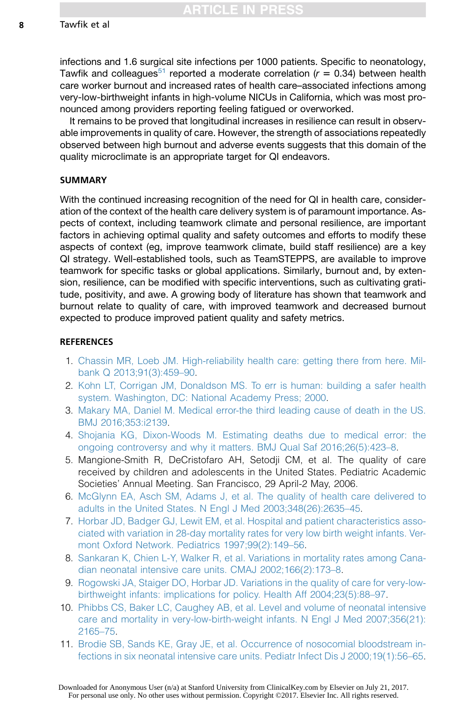infections and 1.6 surgical site infections per 1000 patients. Specific to neonatology, Tawfik and colleagues<sup>[51](#page-9-0)</sup> reported a moderate correlation ( $r = 0.34$ ) between health care worker burnout and increased rates of health care–associated infections among very-low-birthweight infants in high-volume NICUs in California, which was most pronounced among providers reporting feeling fatigued or overworked.

It remains to be proved that longitudinal increases in resilience can result in observable improvements in quality of care. However, the strength of associations repeatedly observed between high burnout and adverse events suggests that this domain of the quality microclimate is an appropriate target for QI endeavors.

### SUMMARY

With the continued increasing recognition of the need for QI in health care, consideration of the context of the health care delivery system is of paramount importance. Aspects of context, including teamwork climate and personal resilience, are important factors in achieving optimal quality and safety outcomes and efforts to modify these aspects of context (eg, improve teamwork climate, build staff resilience) are a key QI strategy. Well-established tools, such as TeamSTEPPS, are available to improve teamwork for specific tasks or global applications. Similarly, burnout and, by extension, resilience, can be modified with specific interventions, such as cultivating gratitude, positivity, and awe. A growing body of literature has shown that teamwork and burnout relate to quality of care, with improved teamwork and decreased burnout expected to produce improved patient quality and safety metrics.

### **REFERENCES**

- 1. [Chassin MR, Loeb JM. High-reliability health care: getting there from here. Mil](http://refhub.elsevier.com/S0095-5108(17)30038-6/sref1)[bank Q 2013;91\(3\):459–90](http://refhub.elsevier.com/S0095-5108(17)30038-6/sref1).
- 2. [Kohn LT, Corrigan JM, Donaldson MS. To err is human: building a safer health](http://refhub.elsevier.com/S0095-5108(17)30038-6/sref2) [system. Washington, DC: National Academy Press; 2000.](http://refhub.elsevier.com/S0095-5108(17)30038-6/sref2)
- 3. [Makary MA, Daniel M. Medical error-the third leading cause of death in the US.](http://refhub.elsevier.com/S0095-5108(17)30038-6/sref3) [BMJ 2016;353:i2139.](http://refhub.elsevier.com/S0095-5108(17)30038-6/sref3)
- 4. [Shojania KG, Dixon-Woods M. Estimating deaths due to medical error: the](http://refhub.elsevier.com/S0095-5108(17)30038-6/sref4) [ongoing controversy and why it matters. BMJ Qual Saf 2016;26\(5\):423–8.](http://refhub.elsevier.com/S0095-5108(17)30038-6/sref4)
- 5. Mangione-Smith R, DeCristofaro AH, Setodji CM, et al. The quality of care received by children and adolescents in the United States. Pediatric Academic Societies' Annual Meeting. San Francisco, 29 April-2 May, 2006.
- 6. [McGlynn EA, Asch SM, Adams J, et al. The quality of health care delivered to](http://refhub.elsevier.com/S0095-5108(17)30038-6/sref6) [adults in the United States. N Engl J Med 2003;348\(26\):2635–45](http://refhub.elsevier.com/S0095-5108(17)30038-6/sref6).
- 7. [Horbar JD, Badger GJ, Lewit EM, et al. Hospital and patient characteristics asso](http://refhub.elsevier.com/S0095-5108(17)30038-6/sref7)[ciated with variation in 28-day mortality rates for very low birth weight infants. Ver](http://refhub.elsevier.com/S0095-5108(17)30038-6/sref7)[mont Oxford Network. Pediatrics 1997;99\(2\):149–56.](http://refhub.elsevier.com/S0095-5108(17)30038-6/sref7)
- 8. [Sankaran K, Chien L-Y, Walker R, et al. Variations in mortality rates among Cana](http://refhub.elsevier.com/S0095-5108(17)30038-6/sref8)[dian neonatal intensive care units. CMAJ 2002;166\(2\):173–8](http://refhub.elsevier.com/S0095-5108(17)30038-6/sref8).
- 9. [Rogowski JA, Staiger DO, Horbar JD. Variations in the quality of care for very-low](http://refhub.elsevier.com/S0095-5108(17)30038-6/sref9)[birthweight infants: implications for policy. Health Aff 2004;23\(5\):88–97.](http://refhub.elsevier.com/S0095-5108(17)30038-6/sref9)
- 10. [Phibbs CS, Baker LC, Caughey AB, et al. Level and volume of neonatal intensive](http://refhub.elsevier.com/S0095-5108(17)30038-6/sref10) [care and mortality in very-low-birth-weight infants. N Engl J Med 2007;356\(21\):](http://refhub.elsevier.com/S0095-5108(17)30038-6/sref10) [2165–75.](http://refhub.elsevier.com/S0095-5108(17)30038-6/sref10)
- 11. [Brodie SB, Sands KE, Gray JE, et al. Occurrence of nosocomial bloodstream in](http://refhub.elsevier.com/S0095-5108(17)30038-6/sref11)[fections in six neonatal intensive care units. Pediatr Infect Dis J 2000;19\(1\):56–65.](http://refhub.elsevier.com/S0095-5108(17)30038-6/sref11)

<span id="page-7-0"></span>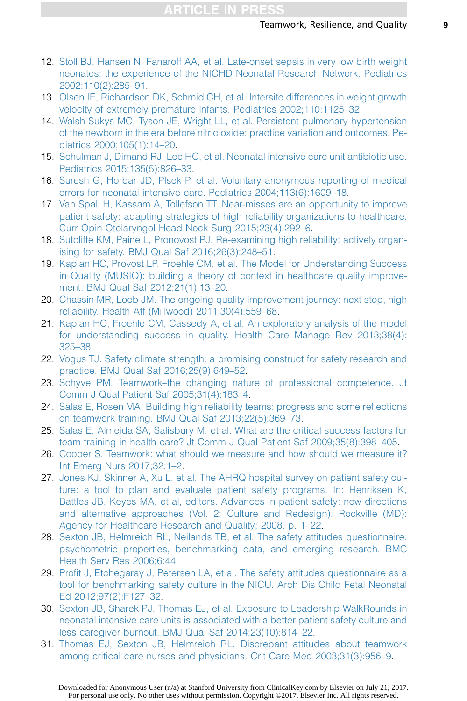- <span id="page-8-0"></span>12. [Stoll BJ, Hansen N, Fanaroff AA, et al. Late-onset sepsis in very low birth weight](http://refhub.elsevier.com/S0095-5108(17)30038-6/sref12) [neonates: the experience of the NICHD Neonatal Research Network. Pediatrics](http://refhub.elsevier.com/S0095-5108(17)30038-6/sref12) [2002;110\(2\):285–91.](http://refhub.elsevier.com/S0095-5108(17)30038-6/sref12)
- 13. [Olsen IE, Richardson DK, Schmid CH, et al. Intersite differences in weight growth](http://refhub.elsevier.com/S0095-5108(17)30038-6/sref13) [velocity of extremely premature infants. Pediatrics 2002;110:1125–32.](http://refhub.elsevier.com/S0095-5108(17)30038-6/sref13)
- 14. [Walsh-Sukys MC, Tyson JE, Wright LL, et al. Persistent pulmonary hypertension](http://refhub.elsevier.com/S0095-5108(17)30038-6/sref14) [of the newborn in the era before nitric oxide: practice variation and outcomes. Pe](http://refhub.elsevier.com/S0095-5108(17)30038-6/sref14)[diatrics 2000;105\(1\):14–20.](http://refhub.elsevier.com/S0095-5108(17)30038-6/sref14)
- 15. [Schulman J, Dimand RJ, Lee HC, et al. Neonatal intensive care unit antibiotic use.](http://refhub.elsevier.com/S0095-5108(17)30038-6/sref15) [Pediatrics 2015;135\(5\):826–33](http://refhub.elsevier.com/S0095-5108(17)30038-6/sref15).
- 16. [Suresh G, Horbar JD, Plsek P, et al. Voluntary anonymous reporting of medical](http://refhub.elsevier.com/S0095-5108(17)30038-6/sref16) [errors for neonatal intensive care. Pediatrics 2004;113\(6\):1609–18.](http://refhub.elsevier.com/S0095-5108(17)30038-6/sref16)
- 17. [Van Spall H, Kassam A, Tollefson TT. Near-misses are an opportunity to improve](http://refhub.elsevier.com/S0095-5108(17)30038-6/sref17) [patient safety: adapting strategies of high reliability organizations to healthcare.](http://refhub.elsevier.com/S0095-5108(17)30038-6/sref17) [Curr Opin Otolaryngol Head Neck Surg 2015;23\(4\):292–6](http://refhub.elsevier.com/S0095-5108(17)30038-6/sref17).
- 18. [Sutcliffe KM, Paine L, Pronovost PJ. Re-examining high reliability: actively organ](http://refhub.elsevier.com/S0095-5108(17)30038-6/sref18)[ising for safety. BMJ Qual Saf 2016;26\(3\):248–51](http://refhub.elsevier.com/S0095-5108(17)30038-6/sref18).
- 19. [Kaplan HC, Provost LP, Froehle CM, et al. The Model for Understanding Success](http://refhub.elsevier.com/S0095-5108(17)30038-6/sref19) [in Quality \(MUSIQ\): building a theory of context in healthcare quality improve](http://refhub.elsevier.com/S0095-5108(17)30038-6/sref19)[ment. BMJ Qual Saf 2012;21\(1\):13–20.](http://refhub.elsevier.com/S0095-5108(17)30038-6/sref19)
- 20. [Chassin MR, Loeb JM. The ongoing quality improvement journey: next stop, high](http://refhub.elsevier.com/S0095-5108(17)30038-6/sref20) [reliability. Health Aff \(Millwood\) 2011;30\(4\):559–68](http://refhub.elsevier.com/S0095-5108(17)30038-6/sref20).
- 21. [Kaplan HC, Froehle CM, Cassedy A, et al. An exploratory analysis of the model](http://refhub.elsevier.com/S0095-5108(17)30038-6/sref21) [for understanding success in quality. Health Care Manage Rev 2013;38\(4\):](http://refhub.elsevier.com/S0095-5108(17)30038-6/sref21) [325–38.](http://refhub.elsevier.com/S0095-5108(17)30038-6/sref21)
- 22. [Vogus TJ. Safety climate strength: a promising construct for safety research and](http://refhub.elsevier.com/S0095-5108(17)30038-6/sref22) [practice. BMJ Qual Saf 2016;25\(9\):649–52.](http://refhub.elsevier.com/S0095-5108(17)30038-6/sref22)
- 23. [Schyve PM. Teamwork–the changing nature of professional competence. Jt](http://refhub.elsevier.com/S0095-5108(17)30038-6/sref23) [Comm J Qual Patient Saf 2005;31\(4\):183–4.](http://refhub.elsevier.com/S0095-5108(17)30038-6/sref23)
- 24. [Salas E, Rosen MA. Building high reliability teams: progress and some reflections](http://refhub.elsevier.com/S0095-5108(17)30038-6/sref24) [on teamwork training. BMJ Qual Saf 2013;22\(5\):369–73](http://refhub.elsevier.com/S0095-5108(17)30038-6/sref24).
- 25. [Salas E, Almeida SA, Salisbury M, et al. What are the critical success factors for](http://refhub.elsevier.com/S0095-5108(17)30038-6/sref25) [team training in health care? Jt Comm J Qual Patient Saf 2009;35\(8\):398–405.](http://refhub.elsevier.com/S0095-5108(17)30038-6/sref25)
- 26. [Cooper S. Teamwork: what should we measure and how should we measure it?](http://refhub.elsevier.com/S0095-5108(17)30038-6/sref26) [Int Emerg Nurs 2017;32:1–2](http://refhub.elsevier.com/S0095-5108(17)30038-6/sref26).
- 27. [Jones KJ, Skinner A, Xu L, et al. The AHRQ hospital survey on patient safety cul](http://refhub.elsevier.com/S0095-5108(17)30038-6/sref27)[ture: a tool to plan and evaluate patient safety programs. In: Henriksen K,](http://refhub.elsevier.com/S0095-5108(17)30038-6/sref27) [Battles JB, Keyes MA, et al, editors. Advances in patient safety: new directions](http://refhub.elsevier.com/S0095-5108(17)30038-6/sref27) [and alternative approaches \(Vol. 2: Culture and Redesign\). Rockville \(MD\):](http://refhub.elsevier.com/S0095-5108(17)30038-6/sref27) Agency for Healthcare Research and Quality; 2008. p. 1–22.
- 28. [Sexton JB, Helmreich RL, Neilands TB, et al. The safety attitudes questionnaire:](http://refhub.elsevier.com/S0095-5108(17)30038-6/sref28) [psychometric properties, benchmarking data, and emerging research. BMC](http://refhub.elsevier.com/S0095-5108(17)30038-6/sref28) [Health Serv Res 2006;6:44.](http://refhub.elsevier.com/S0095-5108(17)30038-6/sref28)
- 29. [Profit J, Etchegaray J, Petersen LA, et al. The safety attitudes questionnaire as a](http://refhub.elsevier.com/S0095-5108(17)30038-6/sref29) [tool for benchmarking safety culture in the NICU. Arch Dis Child Fetal Neonatal](http://refhub.elsevier.com/S0095-5108(17)30038-6/sref29) [Ed 2012;97\(2\):F127–32.](http://refhub.elsevier.com/S0095-5108(17)30038-6/sref29)
- 30. [Sexton JB, Sharek PJ, Thomas EJ, et al. Exposure to Leadership WalkRounds in](http://refhub.elsevier.com/S0095-5108(17)30038-6/sref30) [neonatal intensive care units is associated with a better patient safety culture and](http://refhub.elsevier.com/S0095-5108(17)30038-6/sref30) [less caregiver burnout. BMJ Qual Saf 2014;23\(10\):814–22](http://refhub.elsevier.com/S0095-5108(17)30038-6/sref30).
- 31. [Thomas EJ, Sexton JB, Helmreich RL. Discrepant attitudes about teamwork](http://refhub.elsevier.com/S0095-5108(17)30038-6/sref31) [among critical care nurses and physicians. Crit Care Med 2003;31\(3\):956–9.](http://refhub.elsevier.com/S0095-5108(17)30038-6/sref31)

Downloaded for Anonymous User (n/a) at Stanford University from ClinicalKey.com by Elsevier on July 21, 2017. For personal use only. No other uses without permission. Copyright ©2017. Elsevier Inc. All rights reserved.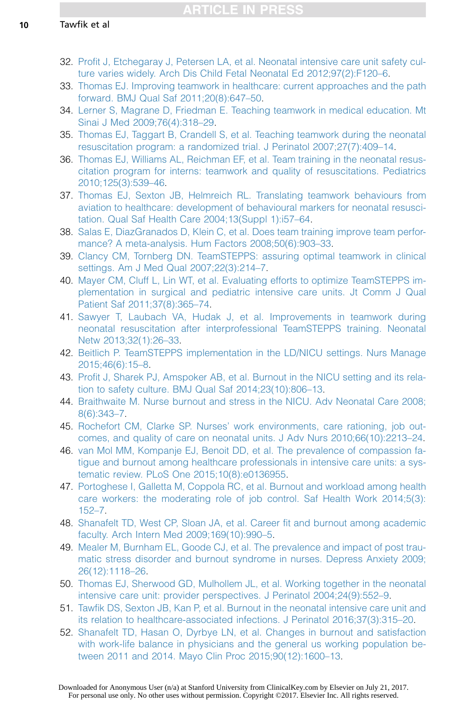- <span id="page-9-0"></span>32. [Profit J, Etchegaray J, Petersen LA, et al. Neonatal intensive care unit safety cul](http://refhub.elsevier.com/S0095-5108(17)30038-6/sref32)[ture varies widely. Arch Dis Child Fetal Neonatal Ed 2012;97\(2\):F120–6.](http://refhub.elsevier.com/S0095-5108(17)30038-6/sref32)
- 33. [Thomas EJ. Improving teamwork in healthcare: current approaches and the path](http://refhub.elsevier.com/S0095-5108(17)30038-6/sref33) [forward. BMJ Qual Saf 2011;20\(8\):647–50.](http://refhub.elsevier.com/S0095-5108(17)30038-6/sref33)
- 34. [Lerner S, Magrane D, Friedman E. Teaching teamwork in medical education. Mt](http://refhub.elsevier.com/S0095-5108(17)30038-6/sref34) [Sinai J Med 2009;76\(4\):318–29.](http://refhub.elsevier.com/S0095-5108(17)30038-6/sref34)
- 35. [Thomas EJ, Taggart B, Crandell S, et al. Teaching teamwork during the neonatal](http://refhub.elsevier.com/S0095-5108(17)30038-6/sref35) [resuscitation program: a randomized trial. J Perinatol 2007;27\(7\):409–14](http://refhub.elsevier.com/S0095-5108(17)30038-6/sref35).
- 36. [Thomas EJ, Williams AL, Reichman EF, et al. Team training in the neonatal resus](http://refhub.elsevier.com/S0095-5108(17)30038-6/sref36)[citation program for interns: teamwork and quality of resuscitations. Pediatrics](http://refhub.elsevier.com/S0095-5108(17)30038-6/sref36) [2010;125\(3\):539–46](http://refhub.elsevier.com/S0095-5108(17)30038-6/sref36).
- 37. [Thomas EJ, Sexton JB, Helmreich RL. Translating teamwork behaviours from](http://refhub.elsevier.com/S0095-5108(17)30038-6/sref37) [aviation to healthcare: development of behavioural markers for neonatal resusci](http://refhub.elsevier.com/S0095-5108(17)30038-6/sref37)[tation. Qual Saf Health Care 2004;13\(Suppl 1\):i57–64.](http://refhub.elsevier.com/S0095-5108(17)30038-6/sref37)
- 38. [Salas E, DiazGranados D, Klein C, et al. Does team training improve team perfor](http://refhub.elsevier.com/S0095-5108(17)30038-6/sref38)[mance? A meta-analysis. Hum Factors 2008;50\(6\):903–33](http://refhub.elsevier.com/S0095-5108(17)30038-6/sref38).
- 39. [Clancy CM, Tornberg DN. TeamSTEPPS: assuring optimal teamwork in clinical](http://refhub.elsevier.com/S0095-5108(17)30038-6/sref39) [settings. Am J Med Qual 2007;22\(3\):214–7.](http://refhub.elsevier.com/S0095-5108(17)30038-6/sref39)
- 40. [Mayer CM, Cluff L, Lin WT, et al. Evaluating efforts to optimize TeamSTEPPS im](http://refhub.elsevier.com/S0095-5108(17)30038-6/sref40)[plementation in surgical and pediatric intensive care units. Jt Comm J Qual](http://refhub.elsevier.com/S0095-5108(17)30038-6/sref40) [Patient Saf 2011;37\(8\):365–74.](http://refhub.elsevier.com/S0095-5108(17)30038-6/sref40)
- 41. [Sawyer T, Laubach VA, Hudak J, et al. Improvements in teamwork during](http://refhub.elsevier.com/S0095-5108(17)30038-6/sref41) [neonatal resuscitation after interprofessional TeamSTEPPS training. Neonatal](http://refhub.elsevier.com/S0095-5108(17)30038-6/sref41) [Netw 2013;32\(1\):26–33.](http://refhub.elsevier.com/S0095-5108(17)30038-6/sref41)
- 42. [Beitlich P. TeamSTEPPS implementation in the LD/NICU settings. Nurs Manage](http://refhub.elsevier.com/S0095-5108(17)30038-6/sref42) [2015;46\(6\):15–8](http://refhub.elsevier.com/S0095-5108(17)30038-6/sref42).
- 43. [Profit J, Sharek PJ, Amspoker AB, et al. Burnout in the NICU setting and its rela](http://refhub.elsevier.com/S0095-5108(17)30038-6/sref43)[tion to safety culture. BMJ Qual Saf 2014;23\(10\):806–13](http://refhub.elsevier.com/S0095-5108(17)30038-6/sref43).
- 44. [Braithwaite M. Nurse burnout and stress in the NICU. Adv Neonatal Care 2008;](http://refhub.elsevier.com/S0095-5108(17)30038-6/sref44) [8\(6\):343–7](http://refhub.elsevier.com/S0095-5108(17)30038-6/sref44).
- 45. [Rochefort CM, Clarke SP. Nurses' work environments, care rationing, job out](http://refhub.elsevier.com/S0095-5108(17)30038-6/sref45)[comes, and quality of care on neonatal units. J Adv Nurs 2010;66\(10\):2213–24](http://refhub.elsevier.com/S0095-5108(17)30038-6/sref45).
- 46. [van Mol MM, Kompanje EJ, Benoit DD, et al. The prevalence of compassion fa](http://refhub.elsevier.com/S0095-5108(17)30038-6/sref46)[tigue and burnout among healthcare professionals in intensive care units: a sys](http://refhub.elsevier.com/S0095-5108(17)30038-6/sref46)[tematic review. PLoS One 2015;10\(8\):e0136955](http://refhub.elsevier.com/S0095-5108(17)30038-6/sref46).
- 47. [Portoghese I, Galletta M, Coppola RC, et al. Burnout and workload among health](http://refhub.elsevier.com/S0095-5108(17)30038-6/sref47) [care workers: the moderating role of job control. Saf Health Work 2014;5\(3\):](http://refhub.elsevier.com/S0095-5108(17)30038-6/sref47) [152–7.](http://refhub.elsevier.com/S0095-5108(17)30038-6/sref47)
- 48. [Shanafelt TD, West CP, Sloan JA, et al. Career fit and burnout among academic](http://refhub.elsevier.com/S0095-5108(17)30038-6/sref48) [faculty. Arch Intern Med 2009;169\(10\):990–5.](http://refhub.elsevier.com/S0095-5108(17)30038-6/sref48)
- 49. [Mealer M, Burnham EL, Goode CJ, et al. The prevalence and impact of post trau](http://refhub.elsevier.com/S0095-5108(17)30038-6/sref49)[matic stress disorder and burnout syndrome in nurses. Depress Anxiety 2009;](http://refhub.elsevier.com/S0095-5108(17)30038-6/sref49) [26\(12\):1118–26.](http://refhub.elsevier.com/S0095-5108(17)30038-6/sref49)
- 50. [Thomas EJ, Sherwood GD, Mulhollem JL, et al. Working together in the neonatal](http://refhub.elsevier.com/S0095-5108(17)30038-6/sref50) [intensive care unit: provider perspectives. J Perinatol 2004;24\(9\):552–9.](http://refhub.elsevier.com/S0095-5108(17)30038-6/sref50)
- 51. [Tawfik DS, Sexton JB, Kan P, et al. Burnout in the neonatal intensive care unit and](http://refhub.elsevier.com/S0095-5108(17)30038-6/sref51) [its relation to healthcare-associated infections. J Perinatol 2016;37\(3\):315–20](http://refhub.elsevier.com/S0095-5108(17)30038-6/sref51).
- 52. [Shanafelt TD, Hasan O, Dyrbye LN, et al. Changes in burnout and satisfaction](http://refhub.elsevier.com/S0095-5108(17)30038-6/sref52) [with work-life balance in physicians and the general us working population be](http://refhub.elsevier.com/S0095-5108(17)30038-6/sref52)[tween 2011 and 2014. Mayo Clin Proc 2015;90\(12\):1600–13.](http://refhub.elsevier.com/S0095-5108(17)30038-6/sref52)

Downloaded for Anonymous User (n/a) at Stanford University from ClinicalKey.com by Elsevier on July 21, 2017. For personal use only. No other uses without permission. Copyright ©2017. Elsevier Inc. All rights reserved.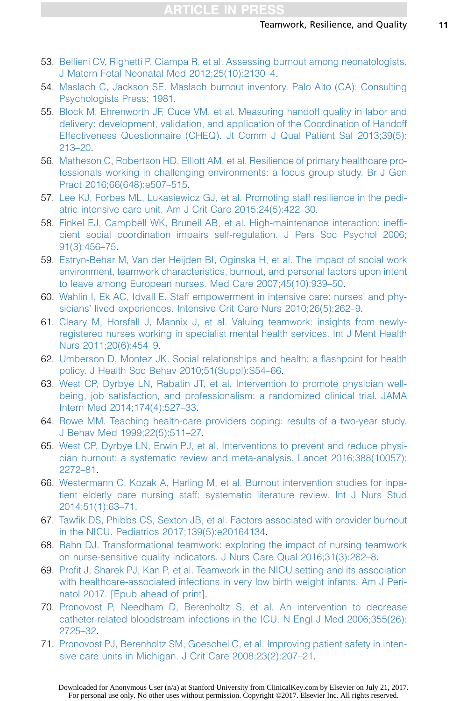- <span id="page-10-0"></span>53. [Bellieni CV, Righetti P, Ciampa R, et al. Assessing burnout among neonatologists.](http://refhub.elsevier.com/S0095-5108(17)30038-6/sref53) [J Matern Fetal Neonatal Med 2012;25\(10\):2130–4.](http://refhub.elsevier.com/S0095-5108(17)30038-6/sref53)
- 54. [Maslach C, Jackson SE. Maslach burnout inventory. Palo Alto \(CA\): Consulting](http://refhub.elsevier.com/S0095-5108(17)30038-6/sref54) [Psychologists Press; 1981.](http://refhub.elsevier.com/S0095-5108(17)30038-6/sref54)
- 55. [Block M, Ehrenworth JF, Cuce VM, et al. Measuring handoff quality in labor and](http://refhub.elsevier.com/S0095-5108(17)30038-6/sref55) [delivery: development, validation, and application of the Coordination of Handoff](http://refhub.elsevier.com/S0095-5108(17)30038-6/sref55) [Effectiveness Questionnaire \(CHEQ\). Jt Comm J Qual Patient Saf 2013;39\(5\):](http://refhub.elsevier.com/S0095-5108(17)30038-6/sref55) [213–20.](http://refhub.elsevier.com/S0095-5108(17)30038-6/sref55)
- 56. [Matheson C, Robertson HD, Elliott AM, et al. Resilience of primary healthcare pro](http://refhub.elsevier.com/S0095-5108(17)30038-6/sref56)[fessionals working in challenging environments: a focus group study. Br J Gen](http://refhub.elsevier.com/S0095-5108(17)30038-6/sref56) [Pract 2016;66\(648\):e507–515](http://refhub.elsevier.com/S0095-5108(17)30038-6/sref56).
- 57. [Lee KJ, Forbes ML, Lukasiewicz GJ, et al. Promoting staff resilience in the pedi](http://refhub.elsevier.com/S0095-5108(17)30038-6/sref57)[atric intensive care unit. Am J Crit Care 2015;24\(5\):422–30.](http://refhub.elsevier.com/S0095-5108(17)30038-6/sref57)
- 58. [Finkel EJ, Campbell WK, Brunell AB, et al. High-maintenance interaction: ineffi](http://refhub.elsevier.com/S0095-5108(17)30038-6/sref58)[cient social coordination impairs self-regulation. J Pers Soc Psychol 2006;](http://refhub.elsevier.com/S0095-5108(17)30038-6/sref58) [91\(3\):456–75](http://refhub.elsevier.com/S0095-5108(17)30038-6/sref58).
- 59. [Estryn-Behar M, Van der Heijden BI, Oginska H, et al. The impact of social work](http://refhub.elsevier.com/S0095-5108(17)30038-6/sref59) [environment, teamwork characteristics, burnout, and personal factors upon intent](http://refhub.elsevier.com/S0095-5108(17)30038-6/sref59) [to leave among European nurses. Med Care 2007;45\(10\):939–50](http://refhub.elsevier.com/S0095-5108(17)30038-6/sref59).
- 60. [Wahlin I, Ek AC, Idvall E. Staff empowerment in intensive care: nurses' and phy](http://refhub.elsevier.com/S0095-5108(17)30038-6/sref60)[sicians' lived experiences. Intensive Crit Care Nurs 2010;26\(5\):262–9.](http://refhub.elsevier.com/S0095-5108(17)30038-6/sref60)
- 61. [Cleary M, Horsfall J, Mannix J, et al. Valuing teamwork: insights from newly](http://refhub.elsevier.com/S0095-5108(17)30038-6/sref61)[registered nurses working in specialist mental health services. Int J Ment Health](http://refhub.elsevier.com/S0095-5108(17)30038-6/sref61) [Nurs 2011;20\(6\):454–9.](http://refhub.elsevier.com/S0095-5108(17)30038-6/sref61)
- 62. [Umberson D, Montez JK. Social relationships and health: a flashpoint for health](http://refhub.elsevier.com/S0095-5108(17)30038-6/sref62) [policy. J Health Soc Behav 2010;51\(Suppl\):S54–66](http://refhub.elsevier.com/S0095-5108(17)30038-6/sref62).
- 63. [West CP, Dyrbye LN, Rabatin JT, et al. Intervention to promote physician well](http://refhub.elsevier.com/S0095-5108(17)30038-6/sref63)[being, job satisfaction, and professionalism: a randomized clinical trial. JAMA](http://refhub.elsevier.com/S0095-5108(17)30038-6/sref63) [Intern Med 2014;174\(4\):527–33](http://refhub.elsevier.com/S0095-5108(17)30038-6/sref63).
- 64. [Rowe MM. Teaching health-care providers coping: results of a two-year study.](http://refhub.elsevier.com/S0095-5108(17)30038-6/sref64) [J Behav Med 1999;22\(5\):511–27](http://refhub.elsevier.com/S0095-5108(17)30038-6/sref64).
- 65. [West CP, Dyrbye LN, Erwin PJ, et al. Interventions to prevent and reduce physi](http://refhub.elsevier.com/S0095-5108(17)30038-6/sref65)[cian burnout: a systematic review and meta-analysis. Lancet 2016;388\(10057\):](http://refhub.elsevier.com/S0095-5108(17)30038-6/sref65) [2272–81.](http://refhub.elsevier.com/S0095-5108(17)30038-6/sref65)
- 66. [Westermann C, Kozak A, Harling M, et al. Burnout intervention studies for inpa](http://refhub.elsevier.com/S0095-5108(17)30038-6/sref66)[tient elderly care nursing staff: systematic literature review. Int J Nurs Stud](http://refhub.elsevier.com/S0095-5108(17)30038-6/sref66) [2014;51\(1\):63–71.](http://refhub.elsevier.com/S0095-5108(17)30038-6/sref66)
- 67. [Tawfik DS, Phibbs CS, Sexton JB, et al. Factors associated with provider burnout](http://refhub.elsevier.com/S0095-5108(17)30038-6/sref67a) [in the NICU. Pediatrics 2017;139\(5\):e20164134](http://refhub.elsevier.com/S0095-5108(17)30038-6/sref67a).
- 68. [Rahn DJ. Transformational teamwork: exploring the impact of nursing teamwork](http://refhub.elsevier.com/S0095-5108(17)30038-6/sref67) [on nurse-sensitive quality indicators. J Nurs Care Qual 2016;31\(3\):262–8](http://refhub.elsevier.com/S0095-5108(17)30038-6/sref67).
- 69. [Profit J, Sharek PJ, Kan P, et al. Teamwork in the NICU setting and its association](http://refhub.elsevier.com/S0095-5108(17)30038-6/sref68) [with healthcare-associated infections in very low birth weight infants. Am J Peri](http://refhub.elsevier.com/S0095-5108(17)30038-6/sref68)[natol 2017. \[Epub ahead of print\].](http://refhub.elsevier.com/S0095-5108(17)30038-6/sref68)
- 70. [Pronovost P, Needham D, Berenholtz S, et al. An intervention to decrease](http://refhub.elsevier.com/S0095-5108(17)30038-6/sref69) [catheter-related bloodstream infections in the ICU. N Engl J Med 2006;355\(26\):](http://refhub.elsevier.com/S0095-5108(17)30038-6/sref69) [2725–32.](http://refhub.elsevier.com/S0095-5108(17)30038-6/sref69)
- 71. [Pronovost PJ, Berenholtz SM, Goeschel C, et al. Improving patient safety in inten](http://refhub.elsevier.com/S0095-5108(17)30038-6/sref70)[sive care units in Michigan. J Crit Care 2008;23\(2\):207–21.](http://refhub.elsevier.com/S0095-5108(17)30038-6/sref70)